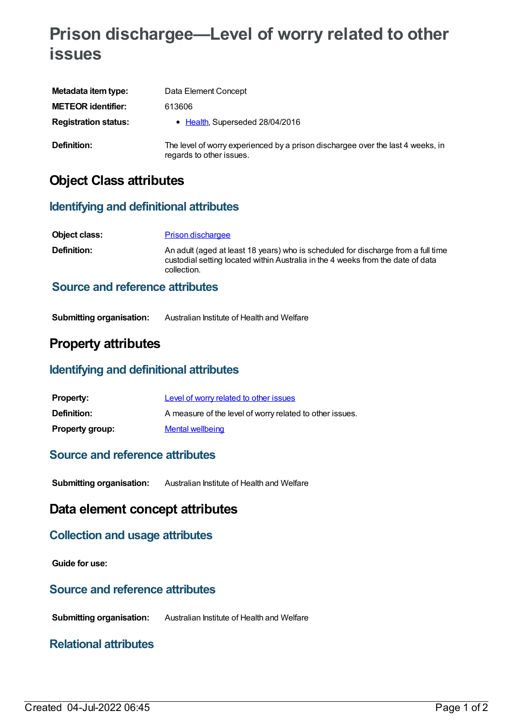## **Prison dischargee—Level of worry related to other issues**

| Metadata item type:         | Data Element Concept                                                                                        |
|-----------------------------|-------------------------------------------------------------------------------------------------------------|
| <b>METEOR identifier:</b>   | 613606                                                                                                      |
| <b>Registration status:</b> | • Health, Superseded 28/04/2016                                                                             |
| Definition:                 | The level of worry experienced by a prison dischargee over the last 4 weeks, in<br>regards to other issues. |

## **Object Class attributes**

#### **Identifying and definitional attributes**

| Object class:                          | <b>Prison dischargee</b>                                                                                                                                                            |
|----------------------------------------|-------------------------------------------------------------------------------------------------------------------------------------------------------------------------------------|
| <b>Definition:</b>                     | An adult (aged at least 18 years) who is scheduled for discharge from a full time<br>custodial setting located within Australia in the 4 weeks from the date of data<br>collection. |
| <b>Source and reference attributes</b> |                                                                                                                                                                                     |

# **Submitting organisation:** Australian Institute of Health and Welfare

### **Property attributes**

#### **Identifying and definitional attributes**

| <b>Property:</b>       | Level of worry related to other issues                   |
|------------------------|----------------------------------------------------------|
| <b>Definition:</b>     | A measure of the level of worry related to other issues. |
| <b>Property group:</b> | <b>Mental wellbeing</b>                                  |

#### **Source and reference attributes**

**Submitting organisation:** Australian Institute of Health and Welfare

### **Data element concept attributes**

## **Collection and usage attributes**

**Guide for use:**

#### **Source and reference attributes**

**Submitting organisation:** Australian Institute of Health and Welfare

#### **Relational attributes**